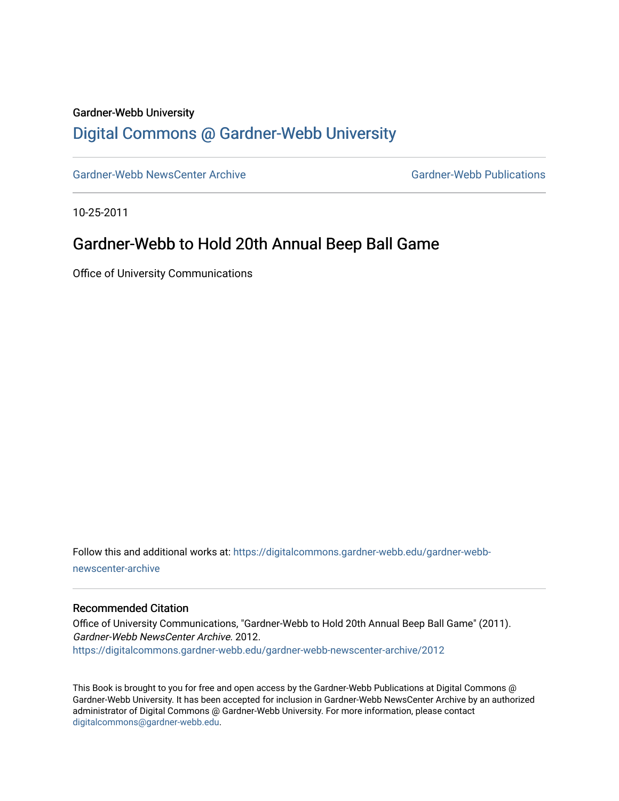### Gardner-Webb University

## [Digital Commons @ Gardner-Webb University](https://digitalcommons.gardner-webb.edu/)

[Gardner-Webb NewsCenter Archive](https://digitalcommons.gardner-webb.edu/gardner-webb-newscenter-archive) Gardner-Webb Publications

10-25-2011

### Gardner-Webb to Hold 20th Annual Beep Ball Game

Office of University Communications

Follow this and additional works at: [https://digitalcommons.gardner-webb.edu/gardner-webb](https://digitalcommons.gardner-webb.edu/gardner-webb-newscenter-archive?utm_source=digitalcommons.gardner-webb.edu%2Fgardner-webb-newscenter-archive%2F2012&utm_medium=PDF&utm_campaign=PDFCoverPages)[newscenter-archive](https://digitalcommons.gardner-webb.edu/gardner-webb-newscenter-archive?utm_source=digitalcommons.gardner-webb.edu%2Fgardner-webb-newscenter-archive%2F2012&utm_medium=PDF&utm_campaign=PDFCoverPages)

#### Recommended Citation

Office of University Communications, "Gardner-Webb to Hold 20th Annual Beep Ball Game" (2011). Gardner-Webb NewsCenter Archive. 2012. [https://digitalcommons.gardner-webb.edu/gardner-webb-newscenter-archive/2012](https://digitalcommons.gardner-webb.edu/gardner-webb-newscenter-archive/2012?utm_source=digitalcommons.gardner-webb.edu%2Fgardner-webb-newscenter-archive%2F2012&utm_medium=PDF&utm_campaign=PDFCoverPages) 

This Book is brought to you for free and open access by the Gardner-Webb Publications at Digital Commons @ Gardner-Webb University. It has been accepted for inclusion in Gardner-Webb NewsCenter Archive by an authorized administrator of Digital Commons @ Gardner-Webb University. For more information, please contact [digitalcommons@gardner-webb.edu](mailto:digitalcommons@gardner-webb.edu).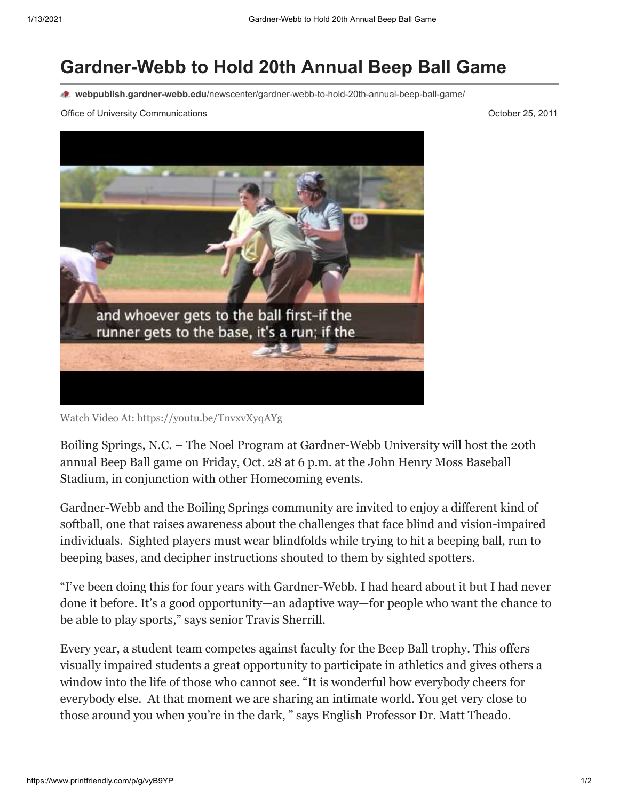# **Gardner-Webb to Hold 20th Annual Beep Ball Game**

**webpublish.gardner-webb.edu**[/newscenter/gardner-webb-to-hold-20th-annual-beep-ball-game/](https://webpublish.gardner-webb.edu/newscenter/gardner-webb-to-hold-20th-annual-beep-ball-game/)

Office of University Communications **October 25, 2011 October 25, 2011** 



Watch Video [At: https://youtu.be/TnvxvXyqAYg](https://youtu.be/TnvxvXyqAYg)

Boiling Springs, N.C. – The Noel Program at Gardner-Webb University will host the 20th annual Beep Ball game on Friday, Oct. 28 at 6 p.m. at the John Henry Moss Baseball Stadium, in conjunction with other Homecoming events.

Gardner-Webb and the Boiling Springs community are invited to enjoy a different kind of softball, one that raises awareness about the challenges that face blind and vision-impaired individuals. Sighted players must wear blindfolds while trying to hit a beeping ball, run to beeping bases, and decipher instructions shouted to them by sighted spotters.

"I've been doing this for four years with Gardner-Webb. I had heard about it but I had never done it before. It's a good opportunity—an adaptive way—for people who want the chance to be able to play sports," says senior Travis Sherrill.

Every year, a student team competes against faculty for the Beep Ball trophy. This offers visually impaired students a great opportunity to participate in athletics and gives others a window into the life of those who cannot see. "It is wonderful how everybody cheers for everybody else. At that moment we are sharing an intimate world. You get very close to those around you when you're in the dark, " says English Professor Dr. Matt Theado.